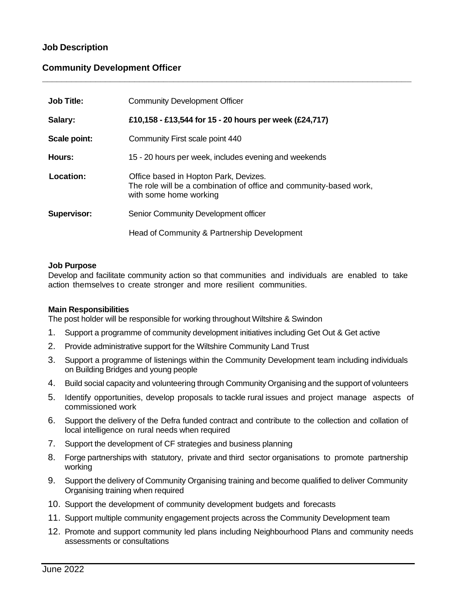# **Job Description**

## **Community Development Officer**

| <b>Job Title:</b>  | <b>Community Development Officer</b>                                                                                                  |
|--------------------|---------------------------------------------------------------------------------------------------------------------------------------|
| Salary:            | £10,158 - £13,544 for 15 - 20 hours per week (£24,717)                                                                                |
| Scale point:       | Community First scale point 440                                                                                                       |
| Hours:             | 15 - 20 hours per week, includes evening and weekends                                                                                 |
| Location:          | Office based in Hopton Park, Devizes.<br>The role will be a combination of office and community-based work,<br>with some home working |
| <b>Supervisor:</b> | Senior Community Development officer                                                                                                  |
|                    | Head of Community & Partnership Development                                                                                           |

**\_\_\_\_\_\_\_\_\_\_\_\_\_\_\_\_\_\_\_\_\_\_\_\_\_\_\_\_\_\_\_\_\_\_\_\_\_\_\_\_\_\_\_\_\_\_\_\_\_\_\_\_\_\_\_\_\_\_\_\_\_\_\_\_\_\_\_\_\_\_\_\_\_\_\_\_**

### **Job Purpose**

Develop and facilitate community action so that communities and individuals are enabled to take action themselves to create stronger and more resilient communities.

### **Main Responsibilities**

The post holder will be responsible for working throughout Wiltshire & Swindon

- 1. Support a programme of community development initiatives including Get Out & Get active
- 2. Provide administrative support for the Wiltshire Community Land Trust
- 3. Support a programme of listenings within the Community Development team including individuals on Building Bridges and young people
- 4. Build social capacity and volunteering through Community Organising and the support of volunteers
- 5. Identify opportunities, develop proposals to tackle rural issues and project manage aspects of commissioned work
- 6. Support the delivery of the Defra funded contract and contribute to the collection and collation of local intelligence on rural needs when required
- 7. Support the development of CF strategies and business planning
- 8. Forge partnerships with statutory, private and third sector organisations to promote partnership working
- 9. Support the delivery of Community Organising training and become qualified to deliver Community Organising training when required
- 10. Support the development of community development budgets and forecasts
- 11. Support multiple community engagement projects across the Community Development team
- 12. Promote and support community led plans including Neighbourhood Plans and community needs assessments or consultations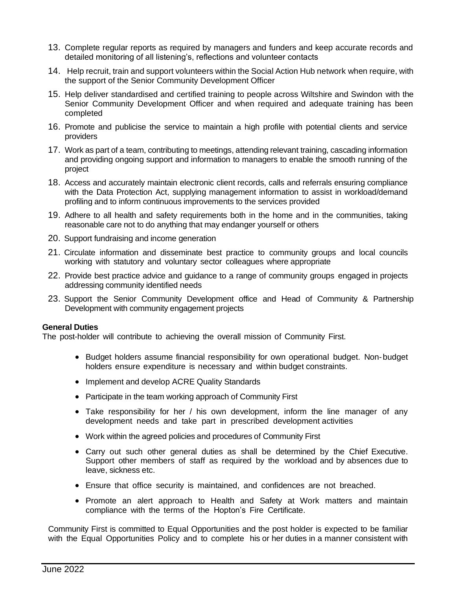- 13. Complete regular reports as required by managers and funders and keep accurate records and detailed monitoring of all listening's, reflections and volunteer contacts
- 14. Help recruit, train and support volunteers within the Social Action Hub network when require, with the support of the Senior Community Development Officer
- 15. Help deliver standardised and certified training to people across Wiltshire and Swindon with the Senior Community Development Officer and when required and adequate training has been completed
- 16. Promote and publicise the service to maintain a high profile with potential clients and service providers
- 17. Work as part of a team, contributing to meetings, attending relevant training, cascading information and providing ongoing support and information to managers to enable the smooth running of the project
- 18. Access and accurately maintain electronic client records, calls and referrals ensuring compliance with the Data Protection Act, supplying management information to assist in workload/demand profiling and to inform continuous improvements to the services provided
- 19. Adhere to all health and safety requirements both in the home and in the communities, taking reasonable care not to do anything that may endanger yourself or others
- 20. Support fundraising and income generation
- 21. Circulate information and disseminate best practice to community groups and local councils working with statutory and voluntary sector colleagues where appropriate
- 22. Provide best practice advice and guidance to a range of community groups engaged in projects addressing community identified needs
- 23. Support the Senior Community Development office and Head of Community & Partnership Development with community engagement projects

#### **General Duties**

The post-holder will contribute to achieving the overall mission of Community First.

- Budget holders assume financial responsibility for own operational budget. Non-budget holders ensure expenditure is necessary and within budget constraints.
- Implement and develop ACRE Quality Standards
- Participate in the team working approach of Community First
- Take responsibility for her / his own development, inform the line manager of any development needs and take part in prescribed development activities
- Work within the agreed policies and procedures of Community First
- Carry out such other general duties as shall be determined by the Chief Executive. Support other members of staff as required by the workload and by absences due to leave, sickness etc.
- Ensure that office security is maintained, and confidences are not breached.
- Promote an alert approach to Health and Safety at Work matters and maintain compliance with the terms of the Hopton's Fire Certificate.

Community First is committed to Equal Opportunities and the post holder is expected to be familiar with the Equal Opportunities Policy and to complete his or her duties in a manner consistent with